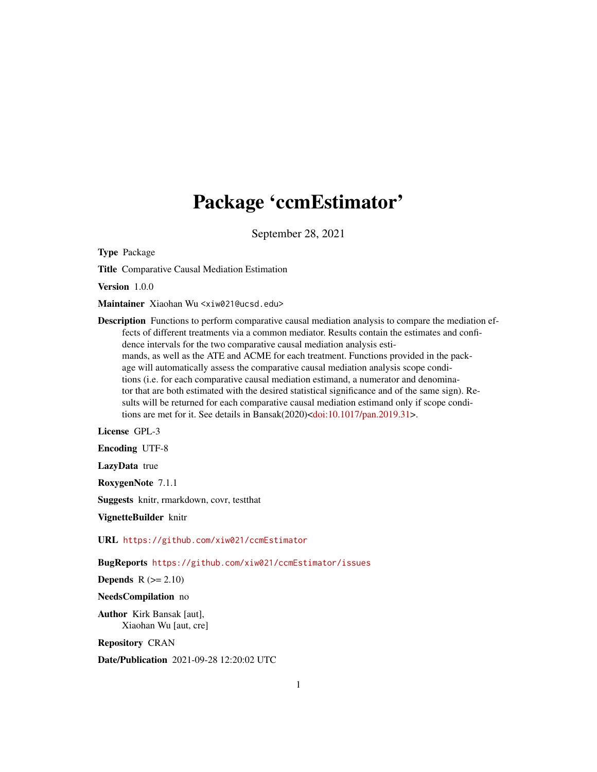## Package 'ccmEstimator'

September 28, 2021

Type Package

Title Comparative Causal Mediation Estimation

Version 1.0.0

Maintainer Xiaohan Wu <xiw021@ucsd.edu>

Description Functions to perform comparative causal mediation analysis to compare the mediation effects of different treatments via a common mediator. Results contain the estimates and confidence intervals for the two comparative causal mediation analysis estimands, as well as the ATE and ACME for each treatment. Functions provided in the package will automatically assess the comparative causal mediation analysis scope conditions (i.e. for each comparative causal mediation estimand, a numerator and denominator that are both estimated with the desired statistical significance and of the same sign). Results will be returned for each comparative causal mediation estimand only if scope condi-tions are met for it. See details in Bansak(2020)[<doi:10.1017/pan.2019.31>](https://doi.org/10.1017/pan.2019.31).

License GPL-3

Encoding UTF-8

LazyData true

RoxygenNote 7.1.1

Suggests knitr, rmarkdown, covr, testthat

VignetteBuilder knitr

URL <https://github.com/xiw021/ccmEstimator>

BugReports <https://github.com/xiw021/ccmEstimator/issues>

Depends  $R (= 2.10)$ 

NeedsCompilation no

Author Kirk Bansak [aut], Xiaohan Wu [aut, cre]

Repository CRAN

Date/Publication 2021-09-28 12:20:02 UTC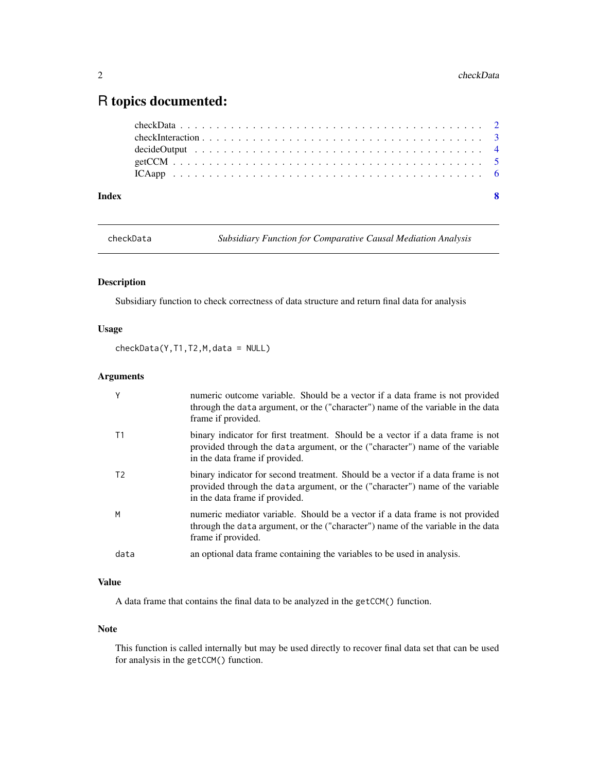### <span id="page-1-0"></span>R topics documented:

| Index | - 8 |
|-------|-----|
|       |     |
|       |     |
|       |     |
|       |     |
|       |     |

checkData *Subsidiary Function for Comparative Causal Mediation Analysis*

#### Description

Subsidiary function to check correctness of data structure and return final data for analysis

#### Usage

checkData(Y,T1,T2,M,data = NULL)

#### Arguments

| Y              | numeric outcome variable. Should be a vector if a data frame is not provided<br>through the data argument, or the ("character") name of the variable in the data<br>frame if provided.              |
|----------------|-----------------------------------------------------------------------------------------------------------------------------------------------------------------------------------------------------|
| T1             | binary indicator for first treatment. Should be a vector if a data frame is not<br>provided through the data argument, or the ("character") name of the variable<br>in the data frame if provided.  |
| T <sub>2</sub> | binary indicator for second treatment. Should be a vector if a data frame is not<br>provided through the data argument, or the ("character") name of the variable<br>in the data frame if provided. |
| M              | numeric mediator variable. Should be a vector if a data frame is not provided<br>through the data argument, or the ("character") name of the variable in the data<br>frame if provided.             |
| data           | an optional data frame containing the variables to be used in analysis.                                                                                                                             |

#### Value

A data frame that contains the final data to be analyzed in the getCCM() function.

#### Note

This function is called internally but may be used directly to recover final data set that can be used for analysis in the getCCM() function.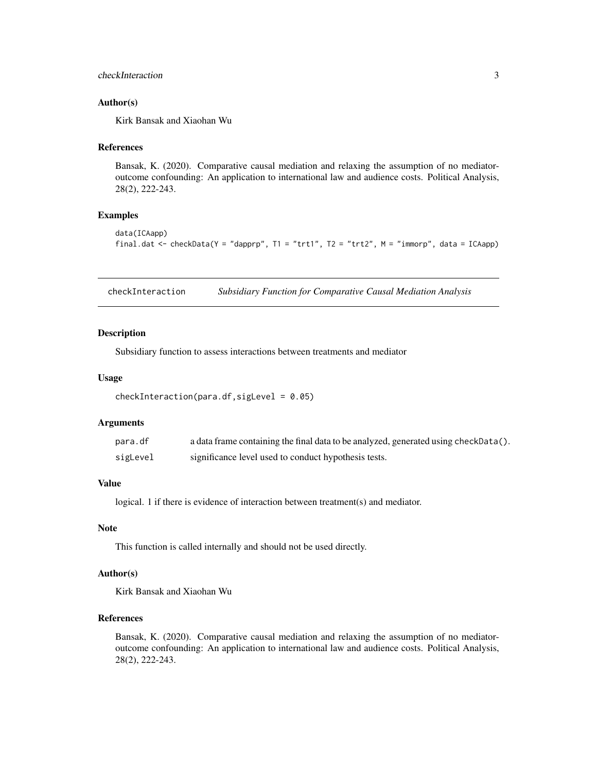#### <span id="page-2-0"></span>checkInteraction 3

#### Author(s)

Kirk Bansak and Xiaohan Wu

#### References

Bansak, K. (2020). Comparative causal mediation and relaxing the assumption of no mediatoroutcome confounding: An application to international law and audience costs. Political Analysis, 28(2), 222-243.

#### Examples

```
data(ICAapp)
final.dat <- checkData(Y = "dapprp", T1 = "trt1", T2 = "trt2", M = "immorp", data = ICAapp)
```
checkInteraction *Subsidiary Function for Comparative Causal Mediation Analysis*

#### Description

Subsidiary function to assess interactions between treatments and mediator

#### Usage

```
checkInteraction(para.df,sigLevel = 0.05)
```
#### Arguments

| para.df  | a data frame containing the final data to be analyzed, generated using checkData(). |
|----------|-------------------------------------------------------------------------------------|
| sigLevel | significance level used to conduct hypothesis tests.                                |

#### Value

logical. 1 if there is evidence of interaction between treatment(s) and mediator.

#### Note

This function is called internally and should not be used directly.

#### Author(s)

Kirk Bansak and Xiaohan Wu

#### References

Bansak, K. (2020). Comparative causal mediation and relaxing the assumption of no mediatoroutcome confounding: An application to international law and audience costs. Political Analysis, 28(2), 222-243.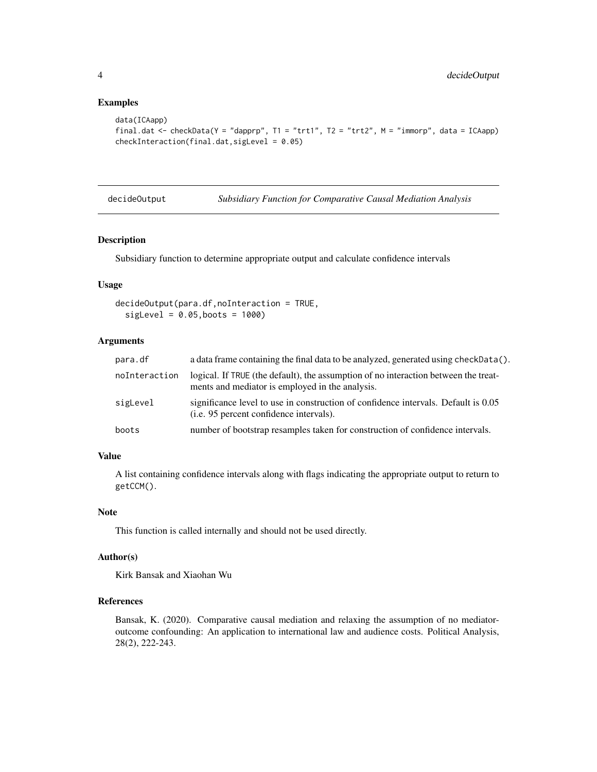#### Examples

```
data(ICAapp)
final.dat <- checkData(Y = "dapprp", T1 = "trt1", T2 = "trt2", M = "immorp", data = ICAapp)
checkInteraction(final.dat,sigLevel = 0.05)
```
decideOutput *Subsidiary Function for Comparative Causal Mediation Analysis*

#### Description

Subsidiary function to determine appropriate output and calculate confidence intervals

#### Usage

```
decideOutput(para.df,noInteraction = TRUE,
  sigLevel = 0.05,boots = 1000
```
#### Arguments

| para.df       | a data frame containing the final data to be analyzed, generated using checkData().                                                    |
|---------------|----------------------------------------------------------------------------------------------------------------------------------------|
| noInteraction | logical. If TRUE (the default), the assumption of no interaction between the treat-<br>ments and mediator is employed in the analysis. |
| sigLevel      | significance level to use in construction of confidence intervals. Default is 0.05<br>( <i>i.e.</i> 95 percent confidence intervals).  |
| boots         | number of bootstrap resamples taken for construction of confidence intervals.                                                          |

#### Value

A list containing confidence intervals along with flags indicating the appropriate output to return to getCCM().

#### Note

This function is called internally and should not be used directly.

#### Author(s)

Kirk Bansak and Xiaohan Wu

#### References

Bansak, K. (2020). Comparative causal mediation and relaxing the assumption of no mediatoroutcome confounding: An application to international law and audience costs. Political Analysis, 28(2), 222-243.

<span id="page-3-0"></span>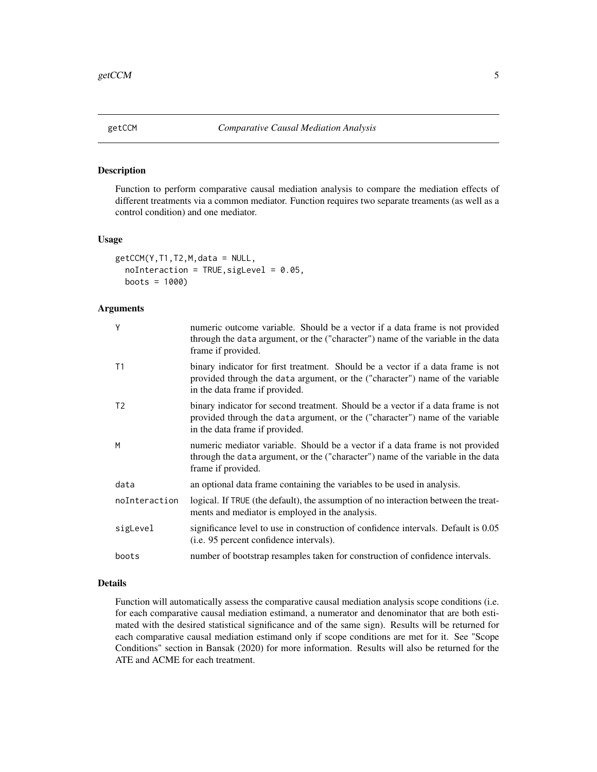<span id="page-4-0"></span>

#### Description

Function to perform comparative causal mediation analysis to compare the mediation effects of different treatments via a common mediator. Function requires two separate treaments (as well as a control condition) and one mediator.

#### Usage

```
getCCM(Y,T1,T2,M,data = NULL,
  noInteraction = TRUE, sigLevel = 0.05,
  boots = 1000)
```
#### Arguments

| Y              | numeric outcome variable. Should be a vector if a data frame is not provided<br>through the data argument, or the ("character") name of the variable in the data<br>frame if provided.              |
|----------------|-----------------------------------------------------------------------------------------------------------------------------------------------------------------------------------------------------|
| T1             | binary indicator for first treatment. Should be a vector if a data frame is not<br>provided through the data argument, or the ("character") name of the variable<br>in the data frame if provided.  |
| T <sub>2</sub> | binary indicator for second treatment. Should be a vector if a data frame is not<br>provided through the data argument, or the ("character") name of the variable<br>in the data frame if provided. |
| M              | numeric mediator variable. Should be a vector if a data frame is not provided<br>through the data argument, or the ("character") name of the variable in the data<br>frame if provided.             |
| data           | an optional data frame containing the variables to be used in analysis.                                                                                                                             |
| noInteraction  | logical. If TRUE (the default), the assumption of no interaction between the treat-<br>ments and mediator is employed in the analysis.                                                              |
| sigLevel       | significance level to use in construction of confidence intervals. Default is 0.05<br>( <i>i.e.</i> 95 percent confidence intervals).                                                               |
| boots          | number of bootstrap resamples taken for construction of confidence intervals.                                                                                                                       |

#### Details

Function will automatically assess the comparative causal mediation analysis scope conditions (i.e. for each comparative causal mediation estimand, a numerator and denominator that are both estimated with the desired statistical significance and of the same sign). Results will be returned for each comparative causal mediation estimand only if scope conditions are met for it. See "Scope Conditions" section in Bansak (2020) for more information. Results will also be returned for the ATE and ACME for each treatment.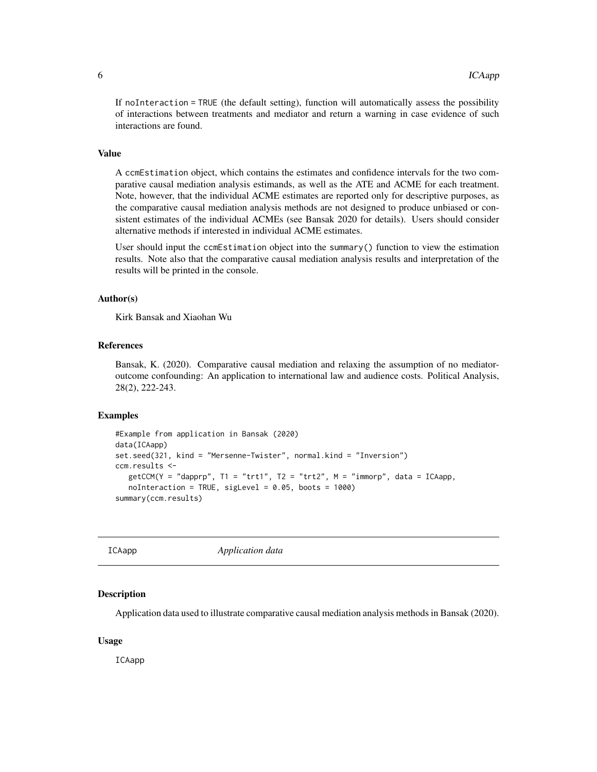<span id="page-5-0"></span>If noInteraction = TRUE (the default setting), function will automatically assess the possibility of interactions between treatments and mediator and return a warning in case evidence of such interactions are found.

#### Value

A ccmEstimation object, which contains the estimates and confidence intervals for the two comparative causal mediation analysis estimands, as well as the ATE and ACME for each treatment. Note, however, that the individual ACME estimates are reported only for descriptive purposes, as the comparative causal mediation analysis methods are not designed to produce unbiased or consistent estimates of the individual ACMEs (see Bansak 2020 for details). Users should consider alternative methods if interested in individual ACME estimates.

User should input the ccmEstimation object into the summary() function to view the estimation results. Note also that the comparative causal mediation analysis results and interpretation of the results will be printed in the console.

#### Author(s)

Kirk Bansak and Xiaohan Wu

#### References

Bansak, K. (2020). Comparative causal mediation and relaxing the assumption of no mediatoroutcome confounding: An application to international law and audience costs. Political Analysis, 28(2), 222-243.

#### Examples

```
#Example from application in Bansak (2020)
data(ICAapp)
set.seed(321, kind = "Mersenne-Twister", normal.kind = "Inversion")
ccm.results <-
  getCCM(Y = "dapprp", TI = "trt1", T2 = "trt2", M = "immorp", data = ICAapp,noInteraction = TRUE, sigLevel = 0.05, boots = 1000)
summary(ccm.results)
```
ICAapp *Application data*

#### Description

Application data used to illustrate comparative causal mediation analysis methods in Bansak (2020).

#### Usage

ICAapp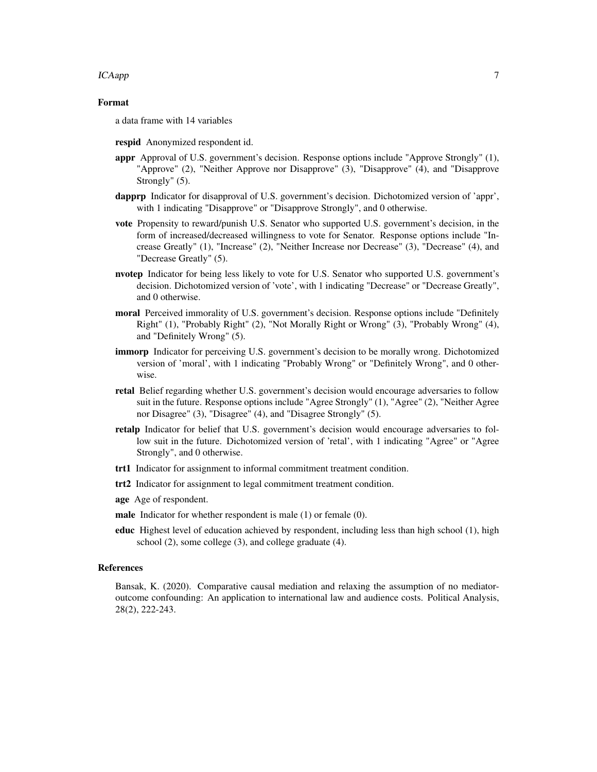#### ICAapp $\Box$

#### Format

a data frame with 14 variables

- respid Anonymized respondent id.
- appr Approval of U.S. government's decision. Response options include "Approve Strongly" (1), "Approve" (2), "Neither Approve nor Disapprove" (3), "Disapprove" (4), and "Disapprove Strongly" (5).
- dapprp Indicator for disapproval of U.S. government's decision. Dichotomized version of 'appr', with 1 indicating "Disapprove" or "Disapprove Strongly", and 0 otherwise.
- vote Propensity to reward/punish U.S. Senator who supported U.S. government's decision, in the form of increased/decreased willingness to vote for Senator. Response options include "Increase Greatly" (1), "Increase" (2), "Neither Increase nor Decrease" (3), "Decrease" (4), and "Decrease Greatly" (5).
- nvotep Indicator for being less likely to vote for U.S. Senator who supported U.S. government's decision. Dichotomized version of 'vote', with 1 indicating "Decrease" or "Decrease Greatly", and 0 otherwise.
- moral Perceived immorality of U.S. government's decision. Response options include "Definitely Right" (1), "Probably Right" (2), "Not Morally Right or Wrong" (3), "Probably Wrong" (4), and "Definitely Wrong" (5).
- immorp Indicator for perceiving U.S. government's decision to be morally wrong. Dichotomized version of 'moral', with 1 indicating "Probably Wrong" or "Definitely Wrong", and 0 otherwise.
- retal Belief regarding whether U.S. government's decision would encourage adversaries to follow suit in the future. Response options include "Agree Strongly" (1), "Agree" (2), "Neither Agree nor Disagree" (3), "Disagree" (4), and "Disagree Strongly" (5).
- retalp Indicator for belief that U.S. government's decision would encourage adversaries to follow suit in the future. Dichotomized version of 'retal', with 1 indicating "Agree" or "Agree Strongly", and 0 otherwise.
- trt1 Indicator for assignment to informal commitment treatment condition.
- trt2 Indicator for assignment to legal commitment treatment condition.
- age Age of respondent.
- male Indicator for whether respondent is male (1) or female (0).
- educ Highest level of education achieved by respondent, including less than high school (1), high school (2), some college (3), and college graduate (4).

#### References

Bansak, K. (2020). Comparative causal mediation and relaxing the assumption of no mediatoroutcome confounding: An application to international law and audience costs. Political Analysis, 28(2), 222-243.